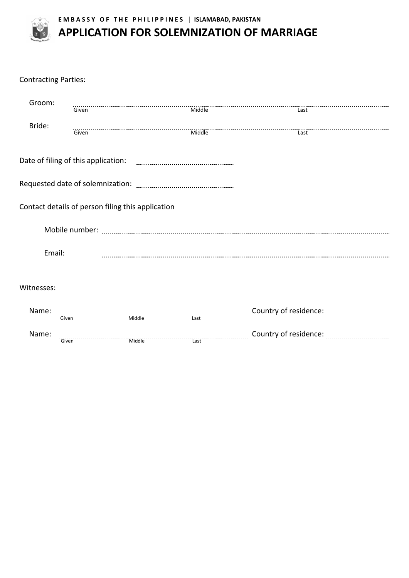

**E M B A S S Y O F T H E P H I L I P P I N E S │ ISLAMABAD, PAKISTAN**

## **APPLICATION FOR SOLEMNIZATION OF MARRIAGE**

| <b>Contracting Parties:</b> |       |                                                   |                                                                                                        |  |
|-----------------------------|-------|---------------------------------------------------|--------------------------------------------------------------------------------------------------------|--|
| Groom:                      | Given |                                                   | Last                                                                                                   |  |
| Bride:                      | Given |                                                   |                                                                                                        |  |
|                             |       |                                                   |                                                                                                        |  |
|                             |       |                                                   |                                                                                                        |  |
|                             |       | Contact details of person filing this application |                                                                                                        |  |
|                             |       |                                                   | Mobile number: www.communication.com/www.communication.com/www.communication.com/www.communication.com |  |
| Email:                      |       |                                                   |                                                                                                        |  |
| Witnesses:                  |       |                                                   |                                                                                                        |  |
| Name:                       | Given |                                                   |                                                                                                        |  |
| Name:                       | Given |                                                   |                                                                                                        |  |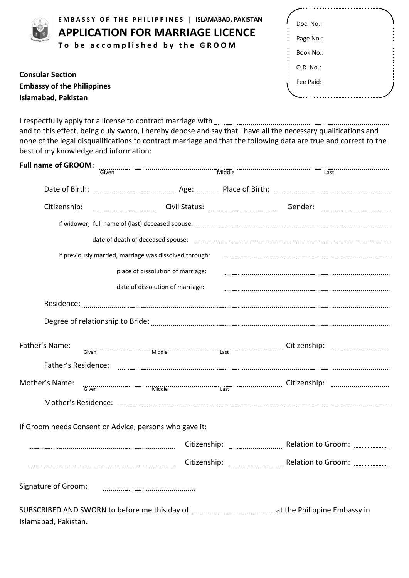|                         | EMBASSY OF THE PHILIPPINES   ISLAMABAD, PAKISTAN |  |  |  |
|-------------------------|--------------------------------------------------|--|--|--|
|                         | <b>APPLICATION FOR MARRIAGE LICENCE</b>          |  |  |  |
|                         | To be accomplished by the GROOM                  |  |  |  |
|                         |                                                  |  |  |  |
| <b>Consular Section</b> |                                                  |  |  |  |

**Embassy of the Philippines** 

**Islamabad, Pakistan**

| Doc. No.: |  |
|-----------|--|
| Page No.: |  |
| Book No.: |  |
| O.R. No.  |  |
| Fee Paid: |  |
|           |  |

I respectfully apply for a license to contract marriage with and to this effect, being duly sworn, I hereby depose and say that I have all the necessary qualifications and none of the legal disqualifications to contract marriage and that the following data are true and correct to the best of my knowledge and information:

| <b>Full name of GROOM:</b>                             |                                   |  |  |                                                                                                                        |  |
|--------------------------------------------------------|-----------------------------------|--|--|------------------------------------------------------------------------------------------------------------------------|--|
|                                                        |                                   |  |  |                                                                                                                        |  |
|                                                        |                                   |  |  |                                                                                                                        |  |
| Citizenship:                                           |                                   |  |  |                                                                                                                        |  |
|                                                        |                                   |  |  |                                                                                                                        |  |
|                                                        |                                   |  |  |                                                                                                                        |  |
| If previously married, marriage was dissolved through: |                                   |  |  |                                                                                                                        |  |
|                                                        | place of dissolution of marriage: |  |  |                                                                                                                        |  |
|                                                        | date of dissolution of marriage:  |  |  |                                                                                                                        |  |
|                                                        |                                   |  |  |                                                                                                                        |  |
|                                                        |                                   |  |  |                                                                                                                        |  |
| Father's Name:                                         |                                   |  |  | TO CITIZENSIA CITIZENSIA SUOMAN LAST TUNNEEN SUURIMMINE SUURI TUNNEEN TUNNEEN TUNNEEN TUNNEEN SUURI SUURI TUNN<br>Tast |  |
|                                                        |                                   |  |  |                                                                                                                        |  |
| Mother's Name:                                         |                                   |  |  |                                                                                                                        |  |
|                                                        |                                   |  |  |                                                                                                                        |  |
| If Groom needs Consent or Advice, persons who gave it: |                                   |  |  |                                                                                                                        |  |
|                                                        |                                   |  |  |                                                                                                                        |  |
|                                                        |                                   |  |  |                                                                                                                        |  |
| Signature of Groom:                                    |                                   |  |  |                                                                                                                        |  |
|                                                        |                                   |  |  |                                                                                                                        |  |
| Islamabad, Pakistan.                                   |                                   |  |  |                                                                                                                        |  |